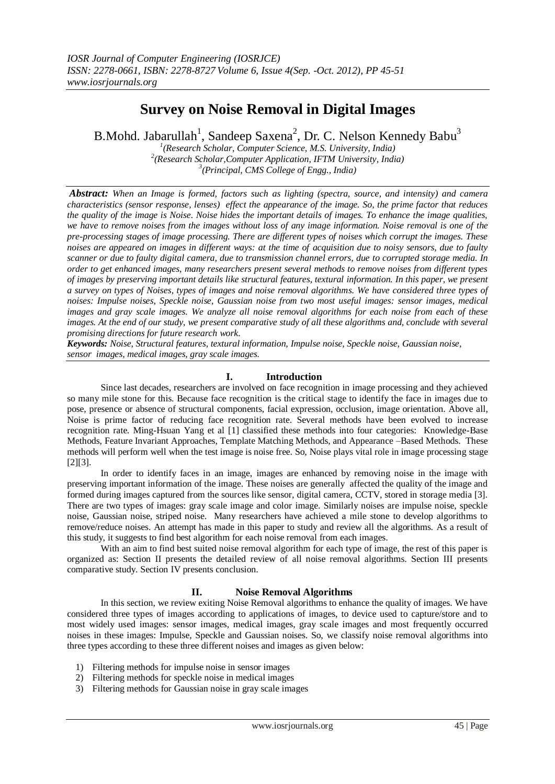# **Survey on Noise Removal in Digital Images**

B.Mohd. Jabarullah<sup>1</sup>, Sandeep Saxena<sup>2</sup>, Dr. C. Nelson Kennedy Babu<sup>3</sup>

*1 (Research Scholar, Computer Science, M.S. University, India) 2 (Research Scholar,Computer Application, IFTM University, India) 3 (Principal, CMS College of Engg., India)*

*Abstract: When an Image is formed, factors such as lighting (spectra, source, and intensity) and camera characteristics (sensor response, lenses) effect the appearance of the image. So, the prime factor that reduces the quality of the image is Noise. Noise hides the important details of images. To enhance the image qualities, we have to remove noises from the images without loss of any image information. Noise removal is one of the pre-processing stages of image processing. There are different types of noises which corrupt the images. These noises are appeared on images in different ways: at the time of acquisition due to noisy sensors, due to faulty scanner or due to faulty digital camera, due to transmission channel errors, due to corrupted storage media. In order to get enhanced images, many researchers present several methods to remove noises from different types of images by preserving important details like structural features, textural information. In this paper, we present a survey on types of Noises, types of images and noise removal algorithms. We have considered three types of noises: Impulse noises, Speckle noise, Gaussian noise from two most useful images: sensor images, medical images and gray scale images. We analyze all noise removal algorithms for each noise from each of these images. At the end of our study, we present comparative study of all these algorithms and, conclude with several promising directions for future research work.*

*Keywords: Noise, Structural features, textural information, Impulse noise, Speckle noise, Gaussian noise, sensor images, medical images, gray scale images.*

# **I. Introduction**

Since last decades, researchers are involved on face recognition in image processing and they achieved so many mile stone for this. Because face recognition is the critical stage to identify the face in images due to pose, presence or absence of structural components, facial expression, occlusion, image orientation. Above all, Noise is prime factor of reducing face recognition rate. Several methods have been evolved to increase recognition rate. Ming-Hsuan Yang et al [1] classified these methods into four categories: Knowledge-Base Methods, Feature Invariant Approaches, Template Matching Methods, and Appearance –Based Methods. These methods will perform well when the test image is noise free. So, Noise plays vital role in image processing stage [2][3].

In order to identify faces in an image, images are enhanced by removing noise in the image with preserving important information of the image. These noises are generally affected the quality of the image and formed during images captured from the sources like sensor, digital camera, CCTV, stored in storage media [3]. There are two types of images: gray scale image and color image. Similarly noises are impulse noise, speckle noise, Gaussian noise, striped noise. Many researchers have achieved a mile stone to develop algorithms to remove/reduce noises. An attempt has made in this paper to study and review all the algorithms. As a result of this study, it suggests to find best algorithm for each noise removal from each images.

With an aim to find best suited noise removal algorithm for each type of image, the rest of this paper is organized as: Section II presents the detailed review of all noise removal algorithms. Section III presents comparative study. Section IV presents conclusion.

#### **II. Noise Removal Algorithms**

In this section, we review exiting Noise Removal algorithms to enhance the quality of images. We have considered three types of images according to applications of images, to device used to capture/store and to most widely used images: sensor images, medical images, gray scale images and most frequently occurred noises in these images: Impulse, Speckle and Gaussian noises. So, we classify noise removal algorithms into three types according to these three different noises and images as given below:

- 1) Filtering methods for impulse noise in sensor images
- 2) Filtering methods for speckle noise in medical images
- 3) Filtering methods for Gaussian noise in gray scale images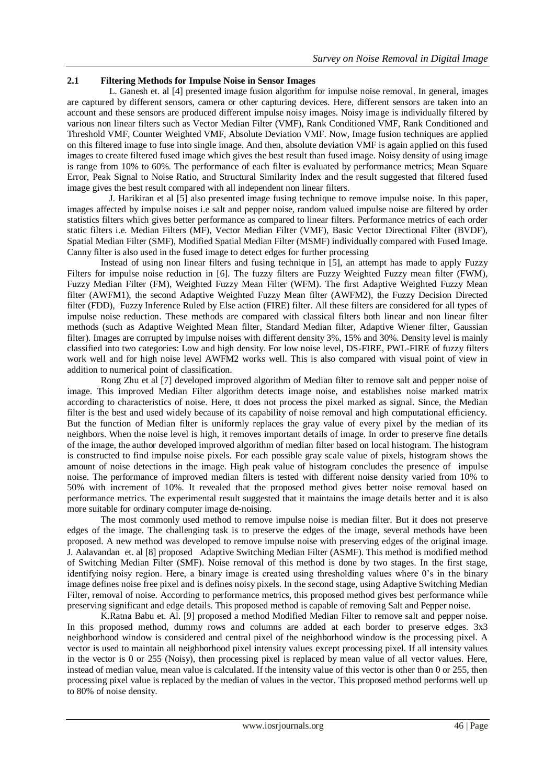# **2.1 Filtering Methods for Impulse Noise in Sensor Images**

L. Ganesh et. al [4] presented image fusion algorithm for impulse noise removal. In general, images are captured by different sensors, camera or other capturing devices. Here, different sensors are taken into an account and these sensors are produced different impulse noisy images. Noisy image is individually filtered by various non linear filters such as Vector Median Filter (VMF), Rank Conditioned VMF, Rank Conditioned and Threshold VMF, Counter Weighted VMF, Absolute Deviation VMF. Now, Image fusion techniques are applied on this filtered image to fuse into single image. And then, absolute deviation VMF is again applied on this fused images to create filtered fused image which gives the best result than fused image. Noisy density of using image is range from 10% to 60%. The performance of each filter is evaluated by performance metrics; Mean Square Error, Peak Signal to Noise Ratio, and Structural Similarity Index and the result suggested that filtered fused image gives the best result compared with all independent non linear filters.

J. Harikiran et al [5] also presented image fusing technique to remove impulse noise. In this paper, images affected by impulse noises i.e salt and pepper noise, random valued impulse noise are filtered by order statistics filters which gives better performance as compared to linear filters. Performance metrics of each order static filters i.e. Median Filters (MF), Vector Median Filter (VMF), Basic Vector Directional Filter (BVDF), Spatial Median Filter (SMF), Modified Spatial Median Filter (MSMF) individually compared with Fused Image. Canny filter is also used in the fused image to detect edges for further processing

Instead of using non linear filters and fusing technique in [5], an attempt has made to apply Fuzzy Filters for impulse noise reduction in [6]. The fuzzy filters are Fuzzy Weighted Fuzzy mean filter (FWM), Fuzzy Median Filter (FM), Weighted Fuzzy Mean Filter (WFM). The first Adaptive Weighted Fuzzy Mean filter (AWFM1), the second Adaptive Weighted Fuzzy Mean filter (AWFM2), the Fuzzy Decision Directed filter (FDD), Fuzzy Inference Ruled by Else action (FIRE) filter. All these filters are considered for all types of impulse noise reduction. These methods are compared with classical filters both linear and non linear filter methods (such as Adaptive Weighted Mean filter, Standard Median filter, Adaptive Wiener filter, Gaussian filter). Images are corrupted by impulse noises with different density 3%, 15% and 30%. Density level is mainly classified into two categories: Low and high density. For low noise level, DS-FIRE, PWL-FIRE of fuzzy filters work well and for high noise level AWFM2 works well. This is also compared with visual point of view in addition to numerical point of classification.

Rong Zhu et al [7] developed improved algorithm of Median filter to remove salt and pepper noise of image. This improved Median Filter algorithm detects image noise, and establishes noise marked matrix according to characteristics of noise. Here, tt does not process the pixel marked as signal. Since, the Median filter is the best and used widely because of its capability of noise removal and high computational efficiency. But the function of Median filter is uniformly replaces the gray value of every pixel by the median of its neighbors. When the noise level is high, it removes important details of image. In order to preserve fine details of the image, the author developed improved algorithm of median filter based on local histogram. The histogram is constructed to find impulse noise pixels. For each possible gray scale value of pixels, histogram shows the amount of noise detections in the image. High peak value of histogram concludes the presence of impulse noise. The performance of improved median filters is tested with different noise density varied from 10% to 50% with increment of 10%. It revealed that the proposed method gives better noise removal based on performance metrics. The experimental result suggested that it maintains the image details better and it is also more suitable for ordinary computer image de-noising.

The most commonly used method to remove impulse noise is median filter. But it does not preserve edges of the image. The challenging task is to preserve the edges of the image, several methods have been proposed. A new method was developed to remove impulse noise with preserving edges of the original image. J. Aalavandan et. al [8] proposed Adaptive Switching Median Filter (ASMF). This method is modified method of Switching Median Filter (SMF). Noise removal of this method is done by two stages. In the first stage, identifying noisy region. Here, a binary image is created using thresholding values where 0's in the binary image defines noise free pixel and is defines noisy pixels. In the second stage, using Adaptive Switching Median Filter, removal of noise. According to performance metrics, this proposed method gives best performance while preserving significant and edge details. This proposed method is capable of removing Salt and Pepper noise.

K.Ratna Babu et. Al. [9] proposed a method Modified Median Filter to remove salt and pepper noise. In this proposed method, dummy rows and columns are added at each border to preserve edges. 3x3 neighborhood window is considered and central pixel of the neighborhood window is the processing pixel. A vector is used to maintain all neighborhood pixel intensity values except processing pixel. If all intensity values in the vector is 0 or 255 (Noisy), then processing pixel is replaced by mean value of all vector values. Here, instead of median value, mean value is calculated. If the intensity value of this vector is other than 0 or 255, then processing pixel value is replaced by the median of values in the vector. This proposed method performs well up to 80% of noise density.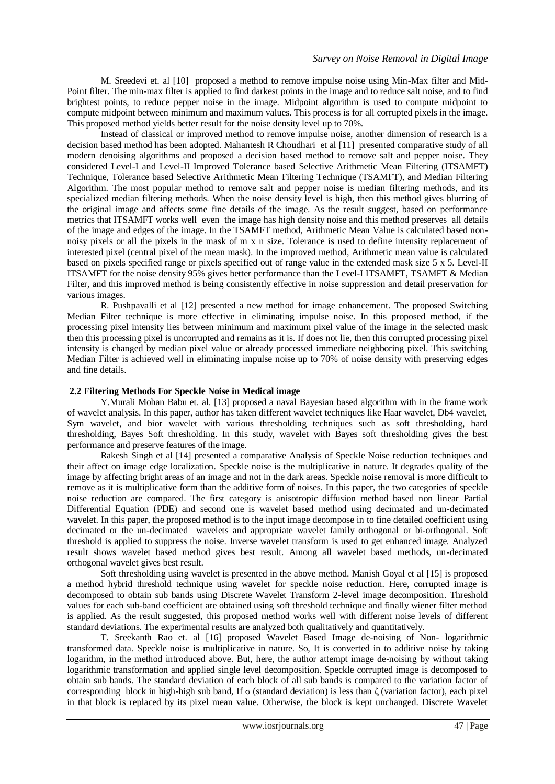M. Sreedevi et. al [10] proposed a method to remove impulse noise using Min-Max filter and Mid-Point filter. The min-max filter is applied to find darkest points in the image and to reduce salt noise, and to find brightest points, to reduce pepper noise in the image. Midpoint algorithm is used to compute midpoint to compute midpoint between minimum and maximum values. This process is for all corrupted pixels in the image. This proposed method yields better result for the noise density level up to 70%.

Instead of classical or improved method to remove impulse noise, another dimension of research is a decision based method has been adopted. Mahantesh R Choudhari et al [11] presented comparative study of all modern denoising algorithms and proposed a decision based method to remove salt and pepper noise. They considered Level-I and Level-II Improved Tolerance based Selective Arithmetic Mean Filtering (ITSAMFT) Technique, Tolerance based Selective Arithmetic Mean Filtering Technique (TSAMFT), and Median Filtering Algorithm. The most popular method to remove salt and pepper noise is median filtering methods, and its specialized median filtering methods. When the noise density level is high, then this method gives blurring of the original image and affects some fine details of the image. As the result suggest, based on performance metrics that ITSAMFT works well even the image has high density noise and this method preserves all details of the image and edges of the image. In the TSAMFT method, Arithmetic Mean Value is calculated based nonnoisy pixels or all the pixels in the mask of m x n size. Tolerance is used to define intensity replacement of interested pixel (central pixel of the mean mask). In the improved method, Arithmetic mean value is calculated based on pixels specified range or pixels specified out of range value in the extended mask size 5 x 5. Level-II ITSAMFT for the noise density 95% gives better performance than the Level-I ITSAMFT, TSAMFT & Median Filter, and this improved method is being consistently effective in noise suppression and detail preservation for various images.

R. Pushpavalli et al [12] presented a new method for image enhancement. The proposed Switching Median Filter technique is more effective in eliminating impulse noise. In this proposed method, if the processing pixel intensity lies between minimum and maximum pixel value of the image in the selected mask then this processing pixel is uncorrupted and remains as it is. If does not lie, then this corrupted processing pixel intensity is changed by median pixel value or already processed immediate neighboring pixel. This switching Median Filter is achieved well in eliminating impulse noise up to 70% of noise density with preserving edges and fine details.

# **2.2 Filtering Methods For Speckle Noise in Medical image**

Y.Murali Mohan Babu et. al. [13] proposed a naval Bayesian based algorithm with in the frame work of wavelet analysis. In this paper, author has taken different wavelet techniques like Haar wavelet, Db4 wavelet, Sym wavelet, and bior wavelet with various thresholding techniques such as soft thresholding, hard thresholding, Bayes Soft thresholding. In this study, wavelet with Bayes soft thresholding gives the best performance and preserve features of the image.

Rakesh Singh et al [14] presented a comparative Analysis of Speckle Noise reduction techniques and their affect on image edge localization. Speckle noise is the multiplicative in nature. It degrades quality of the image by affecting bright areas of an image and not in the dark areas. Speckle noise removal is more difficult to remove as it is multiplicative form than the additive form of noises. In this paper, the two categories of speckle noise reduction are compared. The first category is anisotropic diffusion method based non linear Partial Differential Equation (PDE) and second one is wavelet based method using decimated and un-decimated wavelet. In this paper, the proposed method is to the input image decompose in to fine detailed coefficient using decimated or the un-decimated wavelets and appropriate wavelet family orthogonal or bi-orthogonal. Soft threshold is applied to suppress the noise. Inverse wavelet transform is used to get enhanced image. Analyzed result shows wavelet based method gives best result. Among all wavelet based methods, un-decimated orthogonal wavelet gives best result.

Soft thresholding using wavelet is presented in the above method. Manish Goyal et al [15] is proposed a method hybrid threshold technique using wavelet for speckle noise reduction. Here, corrupted image is decomposed to obtain sub bands using Discrete Wavelet Transform 2-level image decomposition. Threshold values for each sub-band coefficient are obtained using soft threshold technique and finally wiener filter method is applied. As the result suggested, this proposed method works well with different noise levels of different standard deviations. The experimental results are analyzed both qualitatively and quantitatively.

T. Sreekanth Rao et. al [16] proposed Wavelet Based Image de-noising of Non- logarithmic transformed data. Speckle noise is multiplicative in nature. So, It is converted in to additive noise by taking logarithm, in the method introduced above. But, here, the author attempt image de-noising by without taking logarithmic transformation and applied single level decomposition. Speckle corrupted image is decomposed to obtain sub bands. The standard deviation of each block of all sub bands is compared to the variation factor of corresponding block in high-high sub band, If σ (standard deviation) is less than ζ (variation factor), each pixel in that block is replaced by its pixel mean value. Otherwise, the block is kept unchanged. Discrete Wavelet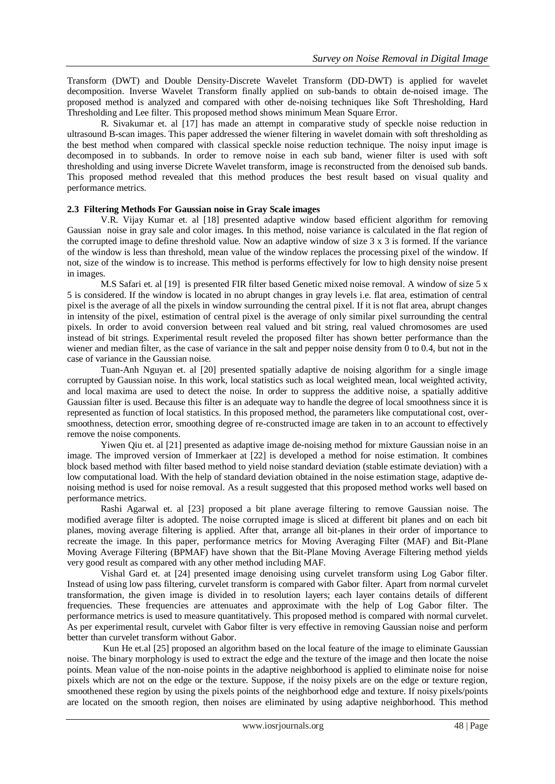Transform (DWT) and Double Density-Discrete Wavelet Transform (DD-DWT) is applied for wavelet decomposition. Inverse Wavelet Transform finally applied on sub-bands to obtain de-noised image. The proposed method is analyzed and compared with other de-noising techniques like Soft Thresholding, Hard Thresholding and Lee filter. This proposed method shows minimum Mean Square Error.

R. Sivakumar et. al [17] has made an attempt in comparative study of speckle noise reduction in ultrasound B-scan images. This paper addressed the wiener filtering in wavelet domain with soft thresholding as the best method when compared with classical speckle noise reduction technique. The noisy input image is decomposed in to subbands. In order to remove noise in each sub band, wiener filter is used with soft thresholding and using inverse Dicrete Wavelet transform, image is reconstructed from the denoised sub bands. This proposed method revealed that this method produces the best result based on visual quality and performance metrics.

#### **2.3 Filtering Methods For Gaussian noise in Gray Scale images**

V.R. Vijay Kumar et. al [18] presented adaptive window based efficient algorithm for removing Gaussian noise in gray sale and color images. In this method, noise variance is calculated in the flat region of the corrupted image to define threshold value. Now an adaptive window of size 3 x 3 is formed. If the variance of the window is less than threshold, mean value of the window replaces the processing pixel of the window. If not, size of the window is to increase. This method is performs effectively for low to high density noise present in images.

M.S Safari et. al [19] is presented FIR filter based Genetic mixed noise removal. A window of size 5 x 5 is considered. If the window is located in no abrupt changes in gray levels i.e. flat area, estimation of central pixel is the average of all the pixels in window surrounding the central pixel. If it is not flat area, abrupt changes in intensity of the pixel, estimation of central pixel is the average of only similar pixel surrounding the central pixels. In order to avoid conversion between real valued and bit string, real valued chromosomes are used instead of bit strings. Experimental result reveled the proposed filter has shown better performance than the wiener and median filter, as the case of variance in the salt and pepper noise density from 0 to 0.4, but not in the case of variance in the Gaussian noise.

Tuan-Anh Nguyan et. al [20] presented spatially adaptive de noising algorithm for a single image corrupted by Gaussian noise. In this work, local statistics such as local weighted mean, local weighted activity, and local maxima are used to detect the noise. In order to suppress the additive noise, a spatially additive Gaussian filter is used. Because this filter is an adequate way to handle the degree of local smoothness since it is represented as function of local statistics. In this proposed method, the parameters like computational cost, oversmoothness, detection error, smoothing degree of re-constructed image are taken in to an account to effectively remove the noise components.

Yiwen Qiu et. al [21] presented as adaptive image de-noising method for mixture Gaussian noise in an image. The improved version of Immerkaer at [22] is developed a method for noise estimation. It combines block based method with filter based method to yield noise standard deviation (stable estimate deviation) with a low computational load. With the help of standard deviation obtained in the noise estimation stage, adaptive denoising method is used for noise removal. As a result suggested that this proposed method works well based on performance metrics.

Rashi Agarwal et. al [23] proposed a bit plane average filtering to remove Gaussian noise. The modified average filter is adopted. The noise corrupted image is sliced at different bit planes and on each bit planes, moving average filtering is applied. After that, arrange all bit-planes in their order of importance to recreate the image. In this paper, performance metrics for Moving Averaging Filter (MAF) and Bit-Plane Moving Average Filtering (BPMAF) have shown that the Bit-Plane Moving Average Filtering method yields very good result as compared with any other method including MAF.

Vishal Gard et. at [24] presented image denoising using curvelet transform using Log Gabor filter. Instead of using low pass filtering, curvelet transform is compared with Gabor filter. Apart from normal curvelet transformation, the given image is divided in to resolution layers; each layer contains details of different frequencies. These frequencies are attenuates and approximate with the help of Log Gabor filter. The performance metrics is used to measure quantitatively. This proposed method is compared with normal curvelet. As per experimental result, curvelet with Gabor filter is very effective in removing Gaussian noise and perform better than curvelet transform without Gabor.

Kun He et.al [25] proposed an algorithm based on the local feature of the image to eliminate Gaussian noise. The binary morphology is used to extract the edge and the texture of the image and then locate the noise points. Mean value of the non-noise points in the adaptive neighborhood is applied to eliminate noise for noise pixels which are not on the edge or the texture. Suppose, if the noisy pixels are on the edge or texture region, smoothened these region by using the pixels points of the neighborhood edge and texture. If noisy pixels/points are located on the smooth region, then noises are eliminated by using adaptive neighborhood. This method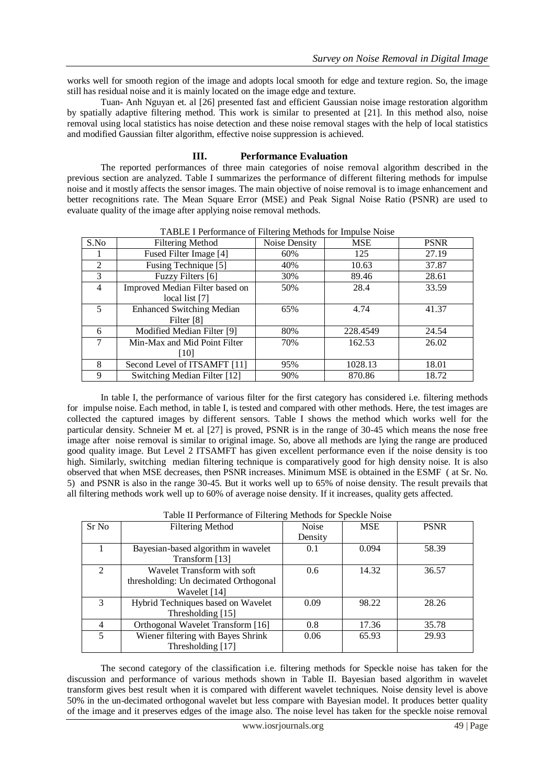works well for smooth region of the image and adopts local smooth for edge and texture region. So, the image still has residual noise and it is mainly located on the image edge and texture.

Tuan- Anh Nguyan et. al [26] presented fast and efficient Gaussian noise image restoration algorithm by spatially adaptive filtering method. This work is similar to presented at [21]. In this method also, noise removal using local statistics has noise detection and these noise removal stages with the help of local statistics and modified Gaussian filter algorithm, effective noise suppression is achieved.

# **III. Performance Evaluation**

The reported performances of three main categories of noise removal algorithm described in the previous section are analyzed. Table I summarizes the performance of different filtering methods for impulse noise and it mostly affects the sensor images. The main objective of noise removal is to image enhancement and better recognitions rate. The Mean Square Error (MSE) and Peak Signal Noise Ratio (PSNR) are used to evaluate quality of the image after applying noise removal methods.

| S.No | <b>Filtering Method</b>          | Noise Density | <b>MSE</b> | <b>PSNR</b> |
|------|----------------------------------|---------------|------------|-------------|
|      | Fused Filter Image [4]           | 60%           | 125        | 27.19       |
| 2    | Fusing Technique [5]             | 40%           | 10.63      | 37.87       |
| 3    | Fuzzy Filters [6]                | 30%           | 89.46      | 28.61       |
| 4    | Improved Median Filter based on  | 50%           | 28.4       | 33.59       |
|      | local list [7]                   |               |            |             |
|      | <b>Enhanced Switching Median</b> | 65%           | 4.74       | 41.37       |
|      | Filter [8]                       |               |            |             |
| 6    | Modified Median Filter [9]       | 80%           | 228.4549   | 24.54       |
|      | Min-Max and Mid Point Filter     | 70%           | 162.53     | 26.02       |
|      | [10]                             |               |            |             |
| 8    | Second Level of ITSAMFT [11]     | 95%           | 1028.13    | 18.01       |
| 9    | Switching Median Filter [12]     | 90%           | 870.86     | 18.72       |

TABLE I Performance of Filtering Methods for Impulse Noise

In table I, the performance of various filter for the first category has considered i.e. filtering methods for impulse noise. Each method, in table I, is tested and compared with other methods. Here, the test images are collected the captured images by different sensors. Table I shows the method which works well for the particular density. Schneier M et. al [27] is proved, PSNR is in the range of 30-45 which means the nose free image after noise removal is similar to original image. So, above all methods are lying the range are produced good quality image. But Level 2 ITSAMFT has given excellent performance even if the noise density is too high. Similarly, switching median filtering technique is comparatively good for high density noise. It is also observed that when MSE decreases, then PSNR increases. Minimum MSE is obtained in the ESMF ( at Sr. No. 5) and PSNR is also in the range 30-45. But it works well up to 65% of noise density. The result prevails that all filtering methods work well up to 60% of average noise density. If it increases, quality gets affected.

| Table II Performance of Filtering Methods for Speckle Noise |  |  |
|-------------------------------------------------------------|--|--|
|                                                             |  |  |

| Sr No                    | <b>Filtering Method</b>               | Noise   | <b>MSE</b> | <b>PSNR</b> |
|--------------------------|---------------------------------------|---------|------------|-------------|
|                          |                                       | Density |            |             |
|                          | Bayesian-based algorithm in wavelet   | 0.1     | 0.094      | 58.39       |
|                          | Transform [13]                        |         |            |             |
| $\mathfrak{D}$           | Wavelet Transform with soft           | 0.6     | 14.32      | 36.57       |
|                          | thresholding: Un decimated Orthogonal |         |            |             |
|                          | Wavelet [14]                          |         |            |             |
| $\mathcal{E}$            | Hybrid Techniques based on Wavelet    | 0.09    | 98.22      | 28.26       |
|                          | Thresholding [15]                     |         |            |             |
| 4                        | Orthogonal Wavelet Transform [16]     | 0.8     | 17.36      | 35.78       |
| $\overline{\mathcal{L}}$ | Wiener filtering with Bayes Shrink    | 0.06    | 65.93      | 29.93       |
|                          | Thresholding [17]                     |         |            |             |

The second category of the classification i.e. filtering methods for Speckle noise has taken for the discussion and performance of various methods shown in Table II. Bayesian based algorithm in wavelet transform gives best result when it is compared with different wavelet techniques. Noise density level is above 50% in the un-decimated orthogonal wavelet but less compare with Bayesian model. It produces better quality of the image and it preserves edges of the image also. The noise level has taken for the speckle noise removal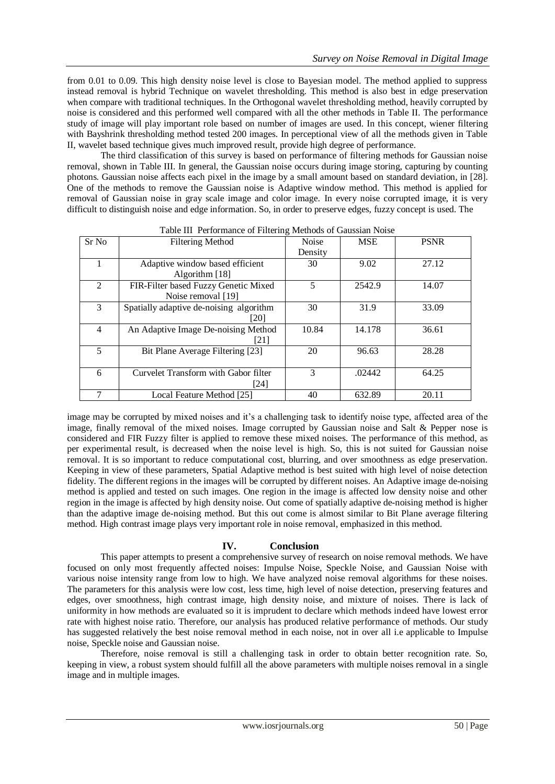from 0.01 to 0.09. This high density noise level is close to Bayesian model. The method applied to suppress instead removal is hybrid Technique on wavelet thresholding. This method is also best in edge preservation when compare with traditional techniques. In the Orthogonal wavelet thresholding method, heavily corrupted by noise is considered and this performed well compared with all the other methods in Table II. The performance study of image will play important role based on number of images are used. In this concept, wiener filtering with Bayshrink thresholding method tested 200 images. In perceptional view of all the methods given in Table II, wavelet based technique gives much improved result, provide high degree of performance.

The third classification of this survey is based on performance of filtering methods for Gaussian noise removal, shown in Table III. In general, the Gaussian noise occurs during image storing, capturing by counting photons. Gaussian noise affects each pixel in the image by a small amount based on standard deviation, in [28]. One of the methods to remove the Gaussian noise is Adaptive window method. This method is applied for removal of Gaussian noise in gray scale image and color image. In every noise corrupted image, it is very difficult to distinguish noise and edge information. So, in order to preserve edges, fuzzy concept is used. The

| Sr No          | <b>Filtering Method</b>                 | Noise   | <b>MSE</b> | <b>PSNR</b> |
|----------------|-----------------------------------------|---------|------------|-------------|
|                |                                         | Density |            |             |
|                | Adaptive window based efficient         | 30      | 9.02       | 27.12       |
|                | Algorithm [18]                          |         |            |             |
| $\mathfrak{D}$ | FIR-Filter based Fuzzy Genetic Mixed    | 5       | 2542.9     | 14.07       |
|                | Noise removal [19]                      |         |            |             |
| 3              | Spatially adaptive de-noising algorithm | 30      | 31.9       | 33.09       |
|                | [20]                                    |         |            |             |
| $\overline{4}$ | An Adaptive Image De-noising Method     | 10.84   | 14.178     | 36.61       |
|                | [21]                                    |         |            |             |
| 5              | Bit Plane Average Filtering [23]        | 20      | 96.63      | 28.28       |
|                |                                         |         |            |             |
| 6              | Curvelet Transform with Gabor filter    | 3       | .02442     | 64.25       |
|                | $[24]$                                  |         |            |             |
|                | Local Feature Method [25]               | 40      | 632.89     | 20.11       |

Table III Performance of Filtering Methods of Gaussian Noise

image may be corrupted by mixed noises and it's a challenging task to identify noise type, affected area of the image, finally removal of the mixed noises. Image corrupted by Gaussian noise and Salt & Pepper nose is considered and FIR Fuzzy filter is applied to remove these mixed noises. The performance of this method, as per experimental result, is decreased when the noise level is high. So, this is not suited for Gaussian noise removal. It is so important to reduce computational cost, blurring, and over smoothness as edge preservation. Keeping in view of these parameters, Spatial Adaptive method is best suited with high level of noise detection fidelity. The different regions in the images will be corrupted by different noises. An Adaptive image de-noising method is applied and tested on such images. One region in the image is affected low density noise and other region in the image is affected by high density noise. Out come of spatially adaptive de-noising method is higher than the adaptive image de-noising method. But this out come is almost similar to Bit Plane average filtering method. High contrast image plays very important role in noise removal, emphasized in this method.

#### **IV. Conclusion**

This paper attempts to present a comprehensive survey of research on noise removal methods. We have focused on only most frequently affected noises: Impulse Noise, Speckle Noise, and Gaussian Noise with various noise intensity range from low to high. We have analyzed noise removal algorithms for these noises. The parameters for this analysis were low cost, less time, high level of noise detection, preserving features and edges, over smoothness, high contrast image, high density noise, and mixture of noises. There is lack of uniformity in how methods are evaluated so it is imprudent to declare which methods indeed have lowest error rate with highest noise ratio. Therefore, our analysis has produced relative performance of methods. Our study has suggested relatively the best noise removal method in each noise, not in over all i.e applicable to Impulse noise, Speckle noise and Gaussian noise.

Therefore, noise removal is still a challenging task in order to obtain better recognition rate. So, keeping in view, a robust system should fulfill all the above parameters with multiple noises removal in a single image and in multiple images.